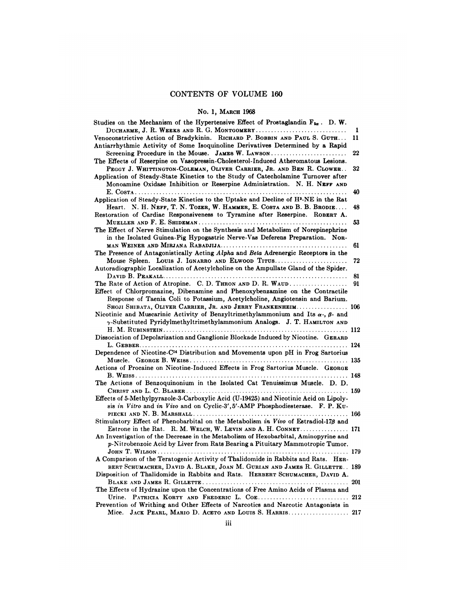## CONTENTS OF VOLUME 160 NTS OF VOLUME<br>No. 1, March 1968<br>Jynertensive Effect of Pr

| <b>CONTENTS OF VOLUME 160</b>                                                                                                                                                                                                                      |    |
|----------------------------------------------------------------------------------------------------------------------------------------------------------------------------------------------------------------------------------------------------|----|
| No. 1, MARCH 1968                                                                                                                                                                                                                                  |    |
| Studies on the Mechanism of the Hypertensive Effect of Prostaglandin $F_{2\alpha}$ . D.W.                                                                                                                                                          |    |
| DUCHARME, J. R. WEEKS AND R. G. MONTGOMERY                                                                                                                                                                                                         | 1  |
| Venoconstrictive Action of Bradykinin. RICHARD P. BOBBIN AND PAUL S. GUTH<br>Antiarrhythmic Activity of Some Isoquinoline Derivatives Determined by a Rapid                                                                                        | 11 |
| Screening Procedure in the Mouse. JAMES W. LAWSON<br>The Effects of Reserpine on Vasopressin-Cholesterol-Induced Atheromatous Lesions.                                                                                                             | 22 |
| PEGGY J. WHITTINGTON-COLEMAN, OLIVER CARRIER, JR. AND BEN R. CLOWER<br>Application of Steady-State Kinetics to the Study of Catecholamine Turnover after<br>Monoamine Oxidase Inhibition or Reserpine Administration. N. H. NEFF AND               | 32 |
| Application of Steady-State Kinetics to the Uptake and Decline of H <sup>3</sup> -NE in the Rat                                                                                                                                                    | 40 |
| Heart. N. H. NEFF, T. N. TOZER, W. HAMMER, E. COSTA AND B. B. BRODIE<br>Restoration of Cardiac Responsiveness to Tyramine after Reserpine. ROBERT A.                                                                                               | 48 |
| The Effect of Nerve Stimulation on the Synthesis and Metabolism of Norepinephrine<br>in the Isolated Guinea-Pig Hypogastric Nerve-Vas Deferens Preparation. Non-                                                                                   | 53 |
|                                                                                                                                                                                                                                                    | 61 |
| The Presence of Antagonistically Acting Alpha and Beta Adrenergic Receptors in the                                                                                                                                                                 |    |
| Mouse Spleen. Louis J. IGNARRO AND ELWOOD TITUS<br>Autoradiographic Localization of Acetylcholine on the Ampullate Gland of the Spider.                                                                                                            | 72 |
|                                                                                                                                                                                                                                                    | 81 |
| The Rate of Action of Atropine. C. D. THRON AND D. R. WAUD                                                                                                                                                                                         | 91 |
| Effect of Chlorpromazine, Dibenamine and Phenoxybenzamine on the Contractile<br>Response of Taenia Coli to Potassium, Acetylcholine, Angiotensin and Barium.                                                                                       |    |
| SHOJI SHIBATA, OLIVER CARRIER, JR. AND JERRY FRANKENHEIM 106<br>Nicotinic and Muscarinic Activity of Benzyltrimethylammonium and Its $\alpha$ -, $\beta$ - and<br>$\gamma$ -Substituted Pyridylmethyltrimethylammonium Analogs. J. T. HAMILTON AND |    |
| Dissociation of Depolarization and Ganglionic Blockade Induced by Nicotine. GERARD                                                                                                                                                                 |    |
|                                                                                                                                                                                                                                                    |    |
| Dependence of Nicotine-C <sup>14</sup> Distribution and Movements upon pH in Frog Sartorius                                                                                                                                                        |    |
|                                                                                                                                                                                                                                                    |    |
| Actions of Procaine on Nicotine-Induced Effects in Frog Sartorius Muscle. GEORGE                                                                                                                                                                   |    |
| The Actions of Benzoquinonium in the Isolated Cat Tenuissimus Muscle. D. D.                                                                                                                                                                        |    |
| Effects of 5-Methylpyrazole-3-Carboxylic Acid (U-19425) and Nicotinic Acid on Lipoly-<br>sis in Vitro and in Vivo and on Cyclic-3', 5'-AMP Phosphodiesterase. F. P. Ku-                                                                            |    |
|                                                                                                                                                                                                                                                    |    |
| Stimulatory Effect of Phenobarbital on the Metabolism in Vivo of Estradiol-176 and<br>Estrone in the Rat. R. M. WELCH, W. LEVIN AND A. H. CONNEY 171                                                                                               |    |
| An Investigation of the Decrease in the Metabolism of Hexobarbital, Aminopyrine and<br>p-Nitrobenzoic Acid by Liver from Rats Bearing a Pituitary Mammotropic Tumor.                                                                               |    |
|                                                                                                                                                                                                                                                    |    |
| A Comparison of the Teratogenic Activity of Thalidomide in Rabbits and Rats. HER-<br>BERT SCHUMACHER, DAVID A. BLAKE, JOAN M. GURIAN AND JAMES R. GILLETTE 189<br>Disposition of Thalidomide in Rabbits and Rats. HERBERT SCHUMACHER, DAVID A.     |    |
|                                                                                                                                                                                                                                                    |    |
| The Effects of Hydrazine upon the Concentrations of Free Amino Acids of Plasma and                                                                                                                                                                 |    |
| Urine. PATRICIA KORTY AND FREDERIC L. COE 212                                                                                                                                                                                                      |    |
| Prevention of Writhing and Other Effects of Narcotics and Narcotic Antagonists in                                                                                                                                                                  |    |
| Mice. JACK PEARL, MARIO D. ACETO AND LOUIS S. HARRIS 217                                                                                                                                                                                           |    |
| $\dddot{\mathbf{u}}$                                                                                                                                                                                                                               |    |